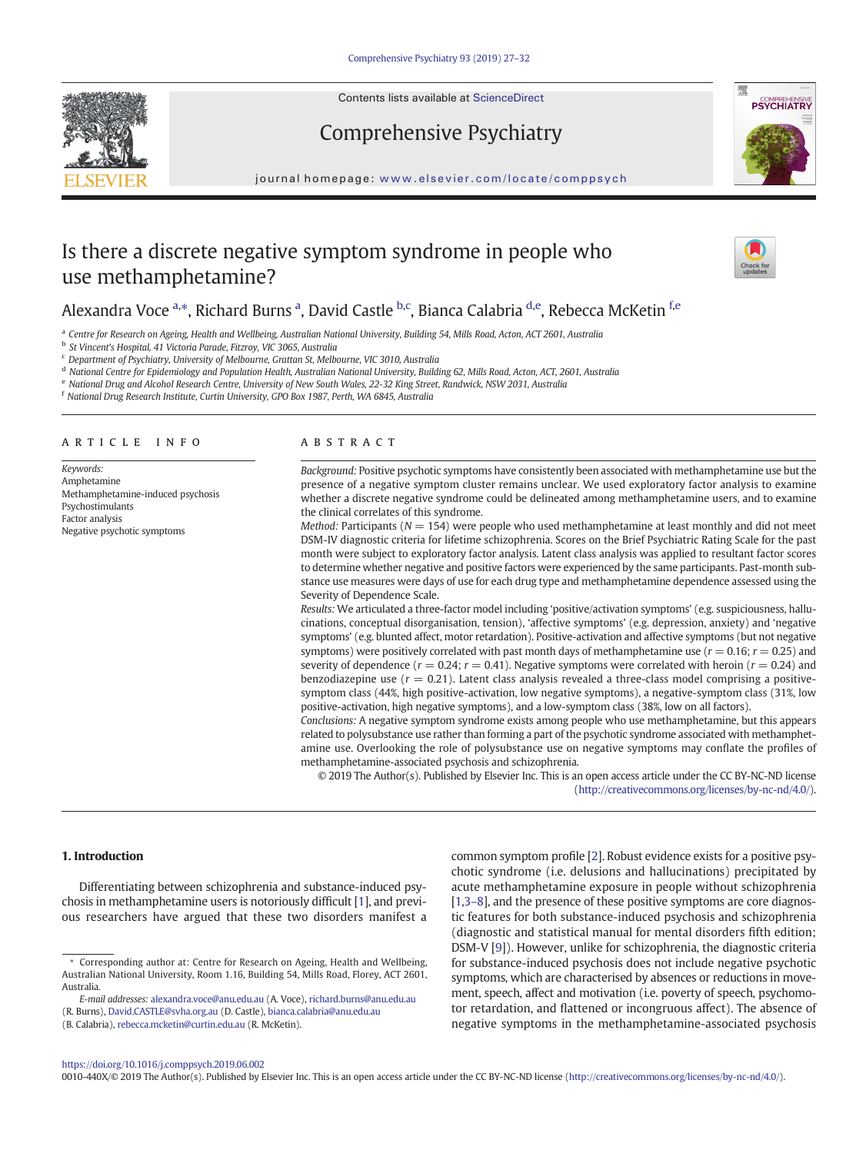Contents lists available at ScienceDirect

# Comprehensive Psychiatry



journal homepage: <www.elsevier.com/locate/comppsych>

# Is there a discrete negative symptom syndrome in people who use methamphetamine?



## Alexandra Voce <sup>a,\*</sup>, Richard Burns <sup>a</sup>, David Castle <sup>b,c</sup>, Bianca Calabria <sup>d,e</sup>, Rebecca McKetin <sup>f,e</sup>

a Centre for Research on Ageing, Health and Wellbeing, Australian National University, Building 54, Mills Road, Acton, ACT 2601, Australia

<sup>b</sup> St Vincent's Hospital, 41 Victoria Parade, Fitzroy, VIC 3065, Australia

<sup>c</sup> Department of Psychiatry, University of Melbourne, Grattan St, Melbourne, VIC 3010, Australia

<sup>d</sup> National Centre for Epidemiology and Population Health, Australian National University, Building 62, Mills Road, Acton, ACT, 2601, Australia

<sup>e</sup> National Drug and Alcohol Research Centre, University of New South Wales, 22-32 King Street, Randwick, NSW 2031, Australia

<sup>f</sup> National Drug Research Institute, Curtin University, GPO Box 1987, Perth, WA 6845, Australia

#### article info abstract

Keywords: Amphetamine Methamphetamine-induced psychosis Psychostimulants Factor analysis Negative psychotic symptoms

Background: Positive psychotic symptoms have consistently been associated with methamphetamine use but the presence of a negative symptom cluster remains unclear. We used exploratory factor analysis to examine whether a discrete negative syndrome could be delineated among methamphetamine users, and to examine the clinical correlates of this syndrome.

*Method:* Participants ( $N = 154$ ) were people who used methamphetamine at least monthly and did not meet DSM-IV diagnostic criteria for lifetime schizophrenia. Scores on the Brief Psychiatric Rating Scale for the past month were subject to exploratory factor analysis. Latent class analysis was applied to resultant factor scores to determine whether negative and positive factors were experienced by the same participants. Past-month substance use measures were days of use for each drug type and methamphetamine dependence assessed using the Severity of Dependence Scale.

Results: We articulated a three-factor model including 'positive/activation symptoms' (e.g. suspiciousness, hallucinations, conceptual disorganisation, tension), 'affective symptoms' (e.g. depression, anxiety) and 'negative symptoms' (e.g. blunted affect, motor retardation). Positive-activation and affective symptoms (but not negative symptoms) were positively correlated with past month days of methamphetamine use ( $r = 0.16$ ;  $r = 0.25$ ) and severity of dependence ( $r = 0.24$ ;  $r = 0.41$ ). Negative symptoms were correlated with heroin ( $r = 0.24$ ) and benzodiazepine use  $(r = 0.21)$ . Latent class analysis revealed a three-class model comprising a positivesymptom class (44%, high positive-activation, low negative symptoms), a negative-symptom class (31%, low positive-activation, high negative symptoms), and a low-symptom class (38%, low on all factors).

Conclusions: A negative symptom syndrome exists among people who use methamphetamine, but this appears related to polysubstance use rather than forming a part of the psychotic syndrome associated with methamphetamine use. Overlooking the role of polysubstance use on negative symptoms may conflate the profiles of methamphetamine-associated psychosis and schizophrenia.

© 2019 The Author(s). Published by Elsevier Inc. This is an open access article under the CC BY-NC-ND license [\(http://creativecommons.org/licenses/by-nc-nd/4.0/\)](http://creativecommons.org/licenses/by-nc-nd/4.0/).

#### 1. Introduction

Differentiating between schizophrenia and substance-induced psychosis in methamphetamine users is notoriously difficult [\[1\]](#page-4-0), and previous researchers have argued that these two disorders manifest a common symptom profile [\[2](#page-4-0)]. Robust evidence exists for a positive psychotic syndrome (i.e. delusions and hallucinations) precipitated by acute methamphetamine exposure in people without schizophrenia [\[1,3](#page-4-0)–8], and the presence of these positive symptoms are core diagnostic features for both substance-induced psychosis and schizophrenia (diagnostic and statistical manual for mental disorders fifth edition; DSM-V [[9](#page-4-0)]). However, unlike for schizophrenia, the diagnostic criteria for substance-induced psychosis does not include negative psychotic symptoms, which are characterised by absences or reductions in movement, speech, affect and motivation (i.e. poverty of speech, psychomotor retardation, and flattened or incongruous affect). The absence of negative symptoms in the methamphetamine-associated psychosis

<https://doi.org/10.1016/j.comppsych.2019.06.002>

0010-440X/© 2019 The Author(s). Published by Elsevier Inc. This is an open access article under the CC BY-NC-ND license (<http://creativecommons.org/licenses/by-nc-nd/4.0/>).

Corresponding author at: Centre for Research on Ageing, Health and Wellbeing, Australian National University, Room 1.16, Building 54, Mills Road, Florey, ACT 2601, Australia.

E-mail addresses: alexandra.voce@anu.edu.au (A. Voce), richard.burns@anu.edu.au

<sup>(</sup>R. Burns), David.CASTLE@svha.org.au (D. Castle), bianca.calabria@anu.edu.au

<sup>(</sup>B. Calabria), <rebecca.mcketin@curtin.edu.au> (R. McKetin).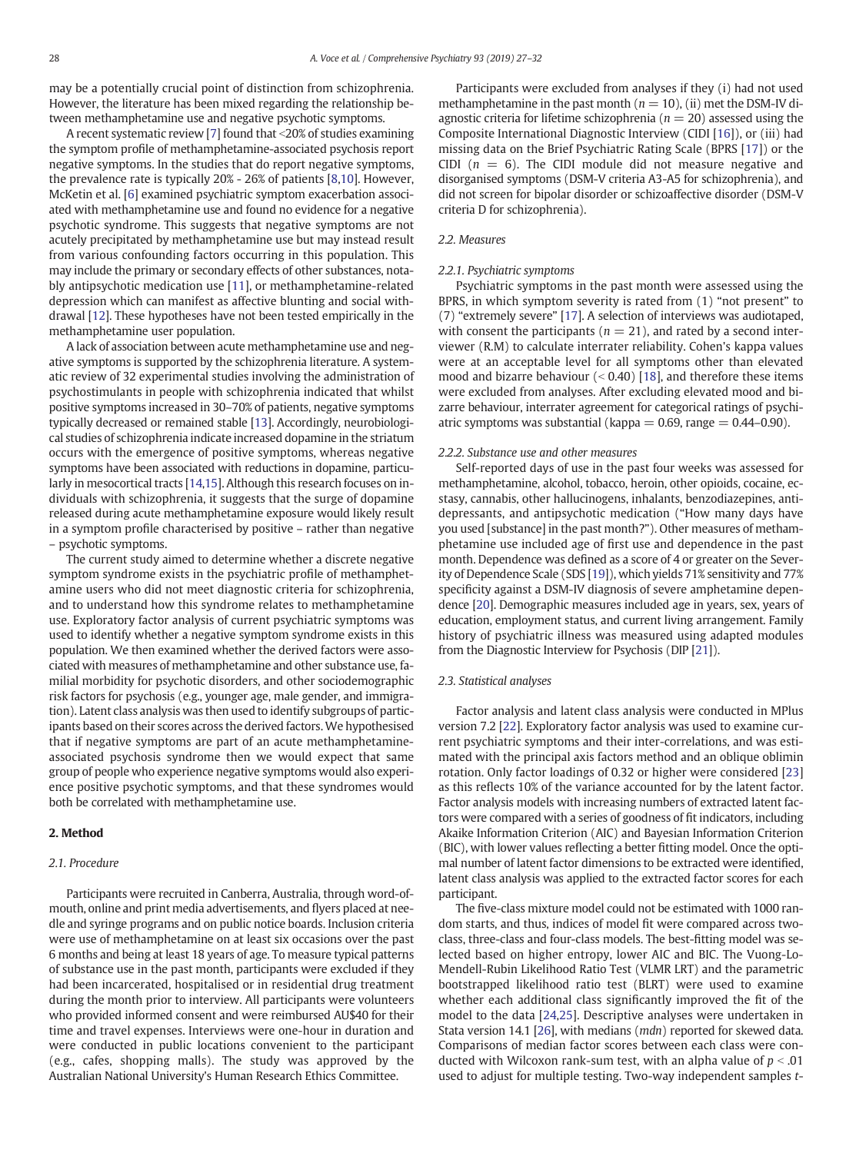may be a potentially crucial point of distinction from schizophrenia. However, the literature has been mixed regarding the relationship between methamphetamine use and negative psychotic symptoms.

A recent systematic review [[7](#page-4-0)] found that  $\leq$ 20% of studies examining the symptom profile of methamphetamine-associated psychosis report negative symptoms. In the studies that do report negative symptoms, the prevalence rate is typically 20% - 26% of patients [[8,10](#page-4-0)]. However, McKetin et al. [[6](#page-4-0)] examined psychiatric symptom exacerbation associated with methamphetamine use and found no evidence for a negative psychotic syndrome. This suggests that negative symptoms are not acutely precipitated by methamphetamine use but may instead result from various confounding factors occurring in this population. This may include the primary or secondary effects of other substances, notably antipsychotic medication use [\[11\]](#page-4-0), or methamphetamine-related depression which can manifest as affective blunting and social withdrawal [\[12](#page-4-0)]. These hypotheses have not been tested empirically in the methamphetamine user population.

A lack of association between acute methamphetamine use and negative symptoms is supported by the schizophrenia literature. A systematic review of 32 experimental studies involving the administration of psychostimulants in people with schizophrenia indicated that whilst positive symptoms increased in 30–70% of patients, negative symptoms typically decreased or remained stable [\[13](#page-4-0)]. Accordingly, neurobiological studies of schizophrenia indicate increased dopamine in the striatum occurs with the emergence of positive symptoms, whereas negative symptoms have been associated with reductions in dopamine, particularly in mesocortical tracts [\[14](#page-4-0),[15\]](#page-4-0). Although this research focuses on individuals with schizophrenia, it suggests that the surge of dopamine released during acute methamphetamine exposure would likely result in a symptom profile characterised by positive – rather than negative – psychotic symptoms.

The current study aimed to determine whether a discrete negative symptom syndrome exists in the psychiatric profile of methamphetamine users who did not meet diagnostic criteria for schizophrenia, and to understand how this syndrome relates to methamphetamine use. Exploratory factor analysis of current psychiatric symptoms was used to identify whether a negative symptom syndrome exists in this population. We then examined whether the derived factors were associated with measures of methamphetamine and other substance use, familial morbidity for psychotic disorders, and other sociodemographic risk factors for psychosis (e.g., younger age, male gender, and immigration). Latent class analysis was then used to identify subgroups of participants based on their scores across the derived factors.We hypothesised that if negative symptoms are part of an acute methamphetamineassociated psychosis syndrome then we would expect that same group of people who experience negative symptoms would also experience positive psychotic symptoms, and that these syndromes would both be correlated with methamphetamine use.

#### 2. Method

#### 2.1. Procedure

Participants were recruited in Canberra, Australia, through word-ofmouth, online and print media advertisements, and flyers placed at needle and syringe programs and on public notice boards. Inclusion criteria were use of methamphetamine on at least six occasions over the past 6 months and being at least 18 years of age. To measure typical patterns of substance use in the past month, participants were excluded if they had been incarcerated, hospitalised or in residential drug treatment during the month prior to interview. All participants were volunteers who provided informed consent and were reimbursed AU\$40 for their time and travel expenses. Interviews were one-hour in duration and were conducted in public locations convenient to the participant (e.g., cafes, shopping malls). The study was approved by the Australian National University's Human Research Ethics Committee.

Participants were excluded from analyses if they (i) had not used methamphetamine in the past month ( $n = 10$ ), (ii) met the DSM-IV diagnostic criteria for lifetime schizophrenia ( $n = 20$ ) assessed using the Composite International Diagnostic Interview (CIDI [\[16\]](#page-4-0)), or (iii) had missing data on the Brief Psychiatric Rating Scale (BPRS [[17\]](#page-4-0)) or the CIDI ( $n = 6$ ). The CIDI module did not measure negative and disorganised symptoms (DSM-V criteria A3-A5 for schizophrenia), and did not screen for bipolar disorder or schizoaffective disorder (DSM-V criteria D for schizophrenia).

#### 2.2. Measures

#### 2.2.1. Psychiatric symptoms

Psychiatric symptoms in the past month were assessed using the BPRS, in which symptom severity is rated from (1) "not present" to (7) "extremely severe" [\[17](#page-4-0)]. A selection of interviews was audiotaped, with consent the participants ( $n = 21$ ), and rated by a second interviewer (R.M) to calculate interrater reliability. Cohen's kappa values were at an acceptable level for all symptoms other than elevated mood and bizarre behaviour  $(0.40)$  [\[18\]](#page-4-0), and therefore these items were excluded from analyses. After excluding elevated mood and bizarre behaviour, interrater agreement for categorical ratings of psychiatric symptoms was substantial (kappa  $= 0.69$ , range  $= 0.44 - 0.90$ ).

#### 2.2.2. Substance use and other measures

Self-reported days of use in the past four weeks was assessed for methamphetamine, alcohol, tobacco, heroin, other opioids, cocaine, ecstasy, cannabis, other hallucinogens, inhalants, benzodiazepines, antidepressants, and antipsychotic medication ("How many days have you used [substance] in the past month?"). Other measures of methamphetamine use included age of first use and dependence in the past month. Dependence was defined as a score of 4 or greater on the Severity of Dependence Scale (SDS [\[19](#page-4-0)]), which yields 71% sensitivity and 77% specificity against a DSM-IV diagnosis of severe amphetamine dependence [[20\]](#page-4-0). Demographic measures included age in years, sex, years of education, employment status, and current living arrangement. Family history of psychiatric illness was measured using adapted modules from the Diagnostic Interview for Psychosis (DIP [[21](#page-5-0)]).

#### 2.3. Statistical analyses

Factor analysis and latent class analysis were conducted in MPlus version 7.2 [\[22](#page-5-0)]. Exploratory factor analysis was used to examine current psychiatric symptoms and their inter-correlations, and was estimated with the principal axis factors method and an oblique oblimin rotation. Only factor loadings of 0.32 or higher were considered [[23\]](#page-5-0) as this reflects 10% of the variance accounted for by the latent factor. Factor analysis models with increasing numbers of extracted latent factors were compared with a series of goodness of fit indicators, including Akaike Information Criterion (AIC) and Bayesian Information Criterion (BIC), with lower values reflecting a better fitting model. Once the optimal number of latent factor dimensions to be extracted were identified, latent class analysis was applied to the extracted factor scores for each participant.

The five-class mixture model could not be estimated with 1000 random starts, and thus, indices of model fit were compared across twoclass, three-class and four-class models. The best-fitting model was selected based on higher entropy, lower AIC and BIC. The Vuong-Lo-Mendell-Rubin Likelihood Ratio Test (VLMR LRT) and the parametric bootstrapped likelihood ratio test (BLRT) were used to examine whether each additional class significantly improved the fit of the model to the data [[24,25](#page-5-0)]. Descriptive analyses were undertaken in Stata version 14.1 [[26\]](#page-5-0), with medians (mdn) reported for skewed data. Comparisons of median factor scores between each class were conducted with Wilcoxon rank-sum test, with an alpha value of  $p < .01$ used to adjust for multiple testing. Two-way independent samples t-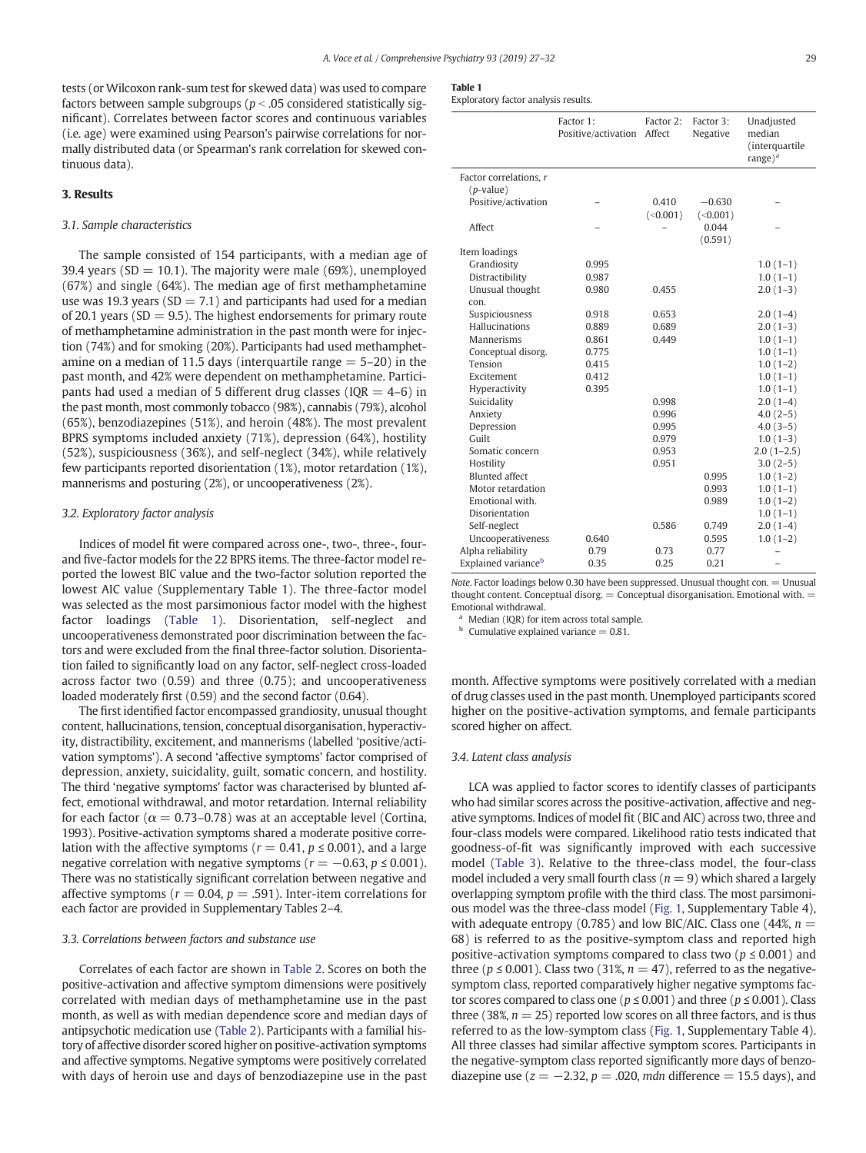tests (or Wilcoxon rank-sum test for skewed data) was used to compare factors between sample subgroups ( $p < .05$  considered statistically significant). Correlates between factor scores and continuous variables (i.e. age) were examined using Pearson's pairwise correlations for normally distributed data (or Spearman's rank correlation for skewed continuous data).

#### 3. Results

### 3.1. Sample characteristics

The sample consisted of 154 participants, with a median age of 39.4 years ( $SD = 10.1$ ). The majority were male ( $69\%$ ), unemployed (67%) and single (64%). The median age of first methamphetamine use was 19.3 years ( $SD = 7.1$ ) and participants had used for a median of 20.1 years ( $SD = 9.5$ ). The highest endorsements for primary route of methamphetamine administration in the past month were for injection (74%) and for smoking (20%). Participants had used methamphetamine on a median of 11.5 days (interquartile range  $=$  5–20) in the past month, and 42% were dependent on methamphetamine. Participants had used a median of 5 different drug classes ( $IQR = 4-6$ ) in the past month, most commonly tobacco (98%), cannabis (79%), alcohol (65%), benzodiazepines (51%), and heroin (48%). The most prevalent BPRS symptoms included anxiety (71%), depression (64%), hostility (52%), suspiciousness (36%), and self-neglect (34%), while relatively few participants reported disorientation (1%), motor retardation (1%), mannerisms and posturing (2%), or uncooperativeness (2%).

#### 3.2. Exploratory factor analysis

Indices of model fit were compared across one-, two-, three-, fourand five-factor models for the 22 BPRS items. The three-factor model reported the lowest BIC value and the two-factor solution reported the lowest AIC value (Supplementary Table 1). The three-factor model was selected as the most parsimonious factor model with the highest factor loadings (Table 1). Disorientation, self-neglect and uncooperativeness demonstrated poor discrimination between the factors and were excluded from the final three-factor solution. Disorientation failed to significantly load on any factor, self-neglect cross-loaded across factor two (0.59) and three (0.75); and uncooperativeness loaded moderately first (0.59) and the second factor (0.64).

The first identified factor encompassed grandiosity, unusual thought content, hallucinations, tension, conceptual disorganisation, hyperactivity, distractibility, excitement, and mannerisms (labelled 'positive/activation symptoms'). A second 'affective symptoms' factor comprised of depression, anxiety, suicidality, guilt, somatic concern, and hostility. The third 'negative symptoms' factor was characterised by blunted affect, emotional withdrawal, and motor retardation. Internal reliability for each factor ( $\alpha = 0.73$ –0.78) was at an acceptable level (Cortina, 1993). Positive-activation symptoms shared a moderate positive correlation with the affective symptoms ( $r = 0.41$ ,  $p \le 0.001$ ), and a large negative correlation with negative symptoms ( $r = -0.63$ ,  $p \le 0.001$ ). There was no statistically significant correlation between negative and affective symptoms ( $r = 0.04$ ,  $p = .591$ ). Inter-item correlations for each factor are provided in Supplementary Tables 2–4.

#### 3.3. Correlations between factors and substance use

Correlates of each factor are shown in [Table 2](#page-3-0). Scores on both the positive-activation and affective symptom dimensions were positively correlated with median days of methamphetamine use in the past month, as well as with median dependence score and median days of antipsychotic medication use [\(Table 2](#page-3-0)). Participants with a familial history of affective disorder scored higher on positive-activation symptoms and affective symptoms. Negative symptoms were positively correlated with days of heroin use and days of benzodiazepine use in the past

Exploratory factor analysis results.

|                                 | Factor 1:<br>Positive/activation Affect | Factor 2: | Factor 3:<br>Negative | Unadjusted<br>median<br>(interquartile |
|---------------------------------|-----------------------------------------|-----------|-----------------------|----------------------------------------|
|                                 |                                         |           |                       | range $)^a$                            |
| Factor correlations, r          |                                         |           |                       |                                        |
| $(p$ -value)                    |                                         |           |                       |                                        |
| Positive/activation             |                                         | 0.410     | $-0.630$              |                                        |
|                                 |                                         | (<0.001)  | (<0.001)              |                                        |
| Affect                          |                                         |           | 0.044                 |                                        |
|                                 |                                         |           | (0.591)               |                                        |
| Item loadings                   |                                         |           |                       |                                        |
| Grandiosity                     | 0.995                                   |           |                       | $1.0(1-1)$                             |
| Distractibility                 | 0.987                                   |           |                       | $1.0(1-1)$                             |
| Unusual thought                 | 0.980                                   | 0.455     |                       | $2.0(1-3)$                             |
| con.                            |                                         |           |                       |                                        |
| Suspiciousness                  | 0.918                                   | 0.653     |                       | $2.0(1-4)$                             |
| Hallucinations                  | 0.889                                   | 0.689     |                       | $2.0(1-3)$                             |
| Mannerisms                      | 0.861                                   | 0.449     |                       | $1.0(1-1)$                             |
| Conceptual disorg.              | 0.775                                   |           |                       | $1.0(1-1)$                             |
| Tension                         | 0.415                                   |           |                       | $1.0(1-2)$                             |
| Excitement                      | 0.412                                   |           |                       | $1.0(1-1)$                             |
| Hyperactivity                   | 0.395                                   |           |                       | $1.0(1-1)$                             |
| Suicidality                     |                                         | 0.998     |                       | $2.0(1-4)$                             |
| Anxiety                         |                                         | 0.996     |                       | $4.0(2-5)$                             |
| Depression                      |                                         | 0.995     |                       | $4.0(3-5)$                             |
| Guilt                           |                                         | 0.979     |                       | $1.0(1-3)$                             |
| Somatic concern                 |                                         | 0.953     |                       | $2.0(1-2.5)$                           |
| Hostility                       |                                         | 0.951     |                       | $3.0(2-5)$                             |
| <b>Blunted affect</b>           |                                         |           | 0.995                 | $1.0(1-2)$                             |
| Motor retardation               |                                         |           | 0.993                 | $1.0(1-1)$                             |
| Emotional with.                 |                                         |           | 0.989                 | $1.0(1-2)$                             |
| Disorientation                  |                                         |           |                       | $1.0(1-1)$                             |
| Self-neglect                    |                                         | 0.586     | 0.749                 | $2.0(1-4)$                             |
| Uncooperativeness               | 0.640                                   |           | 0.595                 | $1.0(1-2)$                             |
| Alpha reliability               | 0.79                                    | 0.73      | 0.77                  |                                        |
| Explained variance <sup>b</sup> | 0.35                                    | 0.25      | 0.21                  | $\overline{\phantom{0}}$               |

Note. Factor loadings below 0.30 have been suppressed. Unusual thought con. = Unusual thought content. Conceptual disorg.  $=$  Conceptual disorganisation. Emotional with.  $=$ Emotional withdrawal.

Median (IQR) for item across total sample.

 $<sup>b</sup>$  Cumulative explained variance = 0.81.</sup>

month. Affective symptoms were positively correlated with a median of drug classes used in the past month. Unemployed participants scored higher on the positive-activation symptoms, and female participants scored higher on affect.

#### 3.4. Latent class analysis

LCA was applied to factor scores to identify classes of participants who had similar scores across the positive-activation, affective and negative symptoms. Indices of model fit (BIC and AIC) across two, three and four-class models were compared. Likelihood ratio tests indicated that goodness-of-fit was significantly improved with each successive model ([Table 3\)](#page-3-0). Relative to the three-class model, the four-class model included a very small fourth class ( $n = 9$ ) which shared a largely overlapping symptom profile with the third class. The most parsimonious model was the three-class model [\(Fig. 1](#page-4-0), Supplementary Table 4), with adequate entropy (0.785) and low BIC/AIC. Class one (44%,  $n =$ 68) is referred to as the positive-symptom class and reported high positive-activation symptoms compared to class two ( $p \leq 0.001$ ) and three ( $p \le 0.001$ ). Class two (31%,  $n = 47$ ), referred to as the negativesymptom class, reported comparatively higher negative symptoms factor scores compared to class one ( $p \le 0.001$ ) and three ( $p \le 0.001$ ). Class three (38%,  $n = 25$ ) reported low scores on all three factors, and is thus referred to as the low-symptom class [\(Fig. 1](#page-4-0), Supplementary Table 4). All three classes had similar affective symptom scores. Participants in the negative-symptom class reported significantly more days of benzodiazepine use  $(z = -2.32, p = .020, mdn$  difference = 15.5 days), and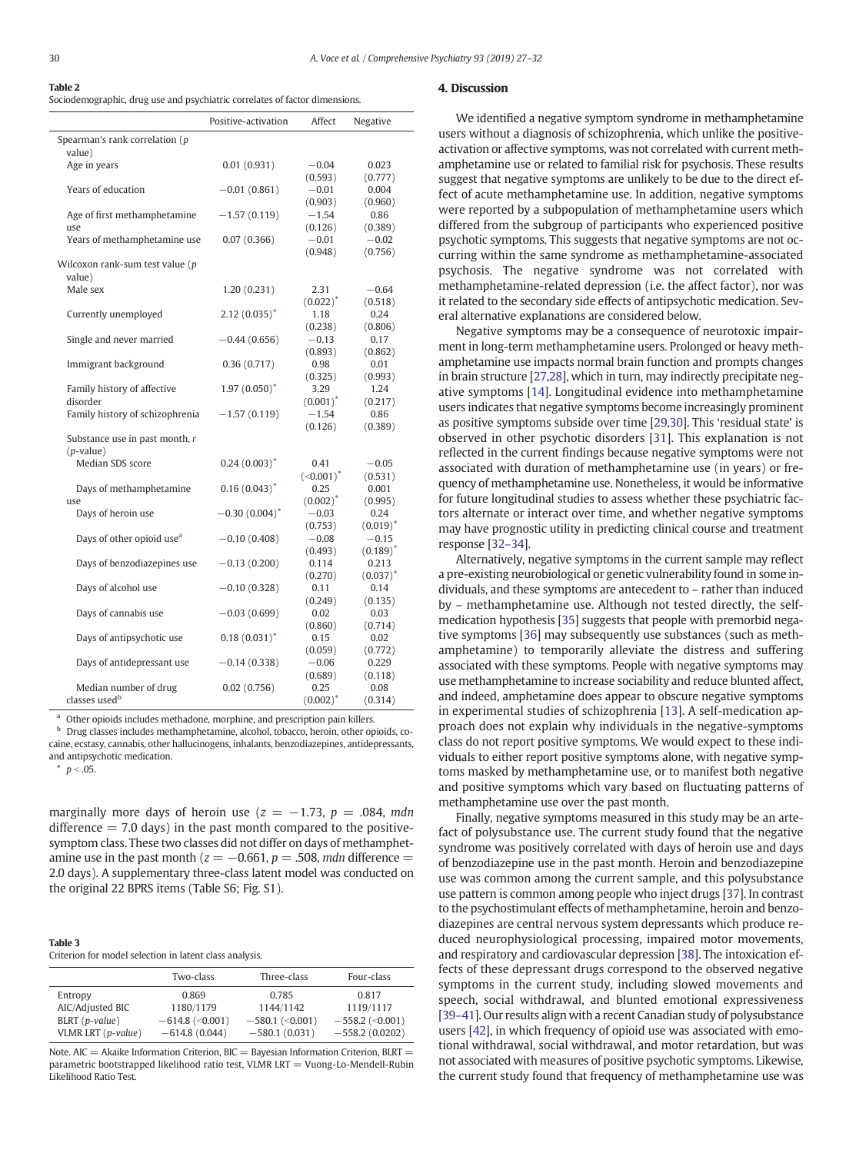<span id="page-3-0"></span>

| Table 2                                                                     |
|-----------------------------------------------------------------------------|
| Sociodemographic, drug use and psychiatric correlates of factor dimensions. |

|                                       | Positive-activation | Affect                | Negative               |
|---------------------------------------|---------------------|-----------------------|------------------------|
| Spearman's rank correlation (p        |                     |                       |                        |
| value)                                |                     |                       |                        |
| Age in years                          | 0.01(0.931)         | $-0.04$               | 0.023                  |
|                                       |                     | (0.593)               | (0.777)                |
| Years of education                    | $-0.01(0.861)$      | $-0.01$               | 0.004                  |
|                                       |                     | (0.903)               | (0.960)                |
| Age of first methamphetamine          | $-1.57(0.119)$      | $-1.54$               | 0.86                   |
| use                                   |                     | (0.126)               | (0.389)                |
| Years of methamphetamine use          | 0.07(0.366)         | $-0.01$               | $-0.02$                |
|                                       |                     | (0.948)               | (0.756)                |
| Wilcoxon rank-sum test value (p       |                     |                       |                        |
| value)                                |                     |                       |                        |
| Male sex                              | 1.20(0.231)         | 2.31                  | $-0.64$                |
| Currently unemployed                  | $2.12(0.035)^*$     | $(0.022)^{*}$<br>1.18 | (0.518)<br>0.24        |
|                                       |                     | (0.238)               | (0.806)                |
| Single and never married              | $-0.44(0.656)$      | $-0.13$               | 0.17                   |
|                                       |                     | (0.893)               | (0.862)                |
| Immigrant background                  | 0.36(0.717)         | 0.98                  | 0.01                   |
|                                       |                     | (0.325)               | (0.993)                |
| Family history of affective           | $1.97(0.050)^*$     | 3.29                  | 1.24                   |
| disorder                              |                     | $(0.001)^*$           | (0.217)                |
| Family history of schizophrenia       | $-1.57(0.119)$      | $-1.54$               | 0.86                   |
|                                       |                     | (0.126)               | (0.389)                |
| Substance use in past month, r        |                     |                       |                        |
| $(p-value)$                           |                     |                       |                        |
| Median SDS score                      | $0.24(0.003)^*$     | 0.41                  | $-0.05$                |
|                                       |                     | $(\leq 0.001)^*$      | (0.531)                |
| Days of methamphetamine               | $0.16(0.043)^*$     | 0.25                  | 0.001                  |
| use                                   |                     | $(0.002)^*$           | (0.995)                |
| Days of heroin use                    | $-0.30(0.004)^*$    | $-0.03$               | 0.24                   |
| Days of other opioid use <sup>a</sup> |                     | (0.753)<br>$-0.08$    | $(0.019)^*$            |
|                                       | $-0.10(0.408)$      |                       | $-0.15$                |
| Days of benzodiazepines use           | $-0.13(0.200)$      | (0.493)<br>0.114      | $(0.189)^{*}$<br>0.213 |
|                                       |                     | (0.270)               | $(0.037)^*$            |
| Days of alcohol use                   | $-0.10(0.328)$      | 0.11                  | 0.14                   |
|                                       |                     | (0.249)               | (0.135)                |
| Days of cannabis use                  | $-0.03(0.699)$      | 0.02                  | 0.03                   |
|                                       |                     | (0.860)               | (0.714)                |
| Days of antipsychotic use             | $0.18(0.031)^*$     | 0.15                  | 0.02                   |
|                                       |                     | (0.059)               | (0.772)                |
| Days of antidepressant use            | $-0.14(0.338)$      | $-0.06$               | 0.229                  |
|                                       |                     | (0.689)               | (0.118)                |
| Median number of drug                 | 0.02(0.756)         | 0.25                  | 0.08                   |
| classes used <sup>b</sup>             |                     | $(0.002)^*$           | (0.314)                |

<sup>a</sup> Other opioids includes methadone, morphine, and prescription pain killers.

<sup>b</sup> Drug classes includes methamphetamine, alcohol, tobacco, heroin, other opioids, cocaine, ecstasy, cannabis, other hallucinogens, inhalants, benzodiazepines, antidepressants, and antipsychotic medication.

 $p < .05$ .

Table 3

marginally more days of heroin use ( $z = -1.73$ ,  $p = .084$ , mdn difference  $= 7.0$  days) in the past month compared to the positivesymptom class. These two classes did not differ on days of methamphetamine use in the past month ( $z = -0.661$ ,  $p = .508$ , mdn difference = 2.0 days). A supplementary three-class latent model was conducted on the original 22 BPRS items (Table S6; Fig. S1).

| rapic J |                                                         |  |  |
|---------|---------------------------------------------------------|--|--|
|         | Criterion for model selection in latent class analysis. |  |  |

|                    | Two-class         | Three-class       | Four-class        |
|--------------------|-------------------|-------------------|-------------------|
| Entropy            | 0.869             | 0.785             | 0.817             |
| AIC/Adjusted BIC   | 1180/1179         | 1144/1142         | 1119/1117         |
| $BLRT(p-value)$    | $-614.8$ (<0.001) | $-580.1$ (<0.001) | $-558.2$ (<0.001) |
| VLMR LRT (p-value) | $-614.8(0.044)$   | $-580.1(0.031)$   | $-558.2(0.0202)$  |

Note. AIC = Akaike Information Criterion,  $BIC =$  Bayesian Information Criterion,  $BIRT =$ parametric bootstrapped likelihood ratio test, VLMR LRT = Vuong-Lo-Mendell-Rubin Likelihood Ratio Test.

#### 4. Discussion

We identified a negative symptom syndrome in methamphetamine users without a diagnosis of schizophrenia, which unlike the positiveactivation or affective symptoms, was not correlated with current methamphetamine use or related to familial risk for psychosis. These results suggest that negative symptoms are unlikely to be due to the direct effect of acute methamphetamine use. In addition, negative symptoms were reported by a subpopulation of methamphetamine users which differed from the subgroup of participants who experienced positive psychotic symptoms. This suggests that negative symptoms are not occurring within the same syndrome as methamphetamine-associated psychosis. The negative syndrome was not correlated with methamphetamine-related depression (i.e. the affect factor), nor was it related to the secondary side effects of antipsychotic medication. Several alternative explanations are considered below.

Negative symptoms may be a consequence of neurotoxic impairment in long-term methamphetamine users. Prolonged or heavy methamphetamine use impacts normal brain function and prompts changes in brain structure [\[27](#page-5-0),[28\]](#page-5-0), which in turn, may indirectly precipitate negative symptoms [\[14\]](#page-4-0). Longitudinal evidence into methamphetamine users indicates that negative symptoms become increasingly prominent as positive symptoms subside over time [\[29,30\]](#page-5-0). This 'residual state' is observed in other psychotic disorders [[31\]](#page-5-0). This explanation is not reflected in the current findings because negative symptoms were not associated with duration of methamphetamine use (in years) or frequency of methamphetamine use. Nonetheless, it would be informative for future longitudinal studies to assess whether these psychiatric factors alternate or interact over time, and whether negative symptoms may have prognostic utility in predicting clinical course and treatment response [32–[34\]](#page-5-0).

Alternatively, negative symptoms in the current sample may reflect a pre-existing neurobiological or genetic vulnerability found in some individuals, and these symptoms are antecedent to – rather than induced by – methamphetamine use. Although not tested directly, the selfmedication hypothesis [[35](#page-5-0)] suggests that people with premorbid negative symptoms [\[36](#page-5-0)] may subsequently use substances (such as methamphetamine) to temporarily alleviate the distress and suffering associated with these symptoms. People with negative symptoms may use methamphetamine to increase sociability and reduce blunted affect, and indeed, amphetamine does appear to obscure negative symptoms in experimental studies of schizophrenia [\[13](#page-4-0)]. A self-medication approach does not explain why individuals in the negative-symptoms class do not report positive symptoms. We would expect to these individuals to either report positive symptoms alone, with negative symptoms masked by methamphetamine use, or to manifest both negative and positive symptoms which vary based on fluctuating patterns of methamphetamine use over the past month.

Finally, negative symptoms measured in this study may be an artefact of polysubstance use. The current study found that the negative syndrome was positively correlated with days of heroin use and days of benzodiazepine use in the past month. Heroin and benzodiazepine use was common among the current sample, and this polysubstance use pattern is common among people who inject drugs [[37\]](#page-5-0). In contrast to the psychostimulant effects of methamphetamine, heroin and benzodiazepines are central nervous system depressants which produce reduced neurophysiological processing, impaired motor movements, and respiratory and cardiovascular depression [[38\]](#page-5-0). The intoxication effects of these depressant drugs correspond to the observed negative symptoms in the current study, including slowed movements and speech, social withdrawal, and blunted emotional expressiveness [\[39](#page-5-0)–41]. Our results align with a recent Canadian study of polysubstance users [\[42](#page-5-0)], in which frequency of opioid use was associated with emotional withdrawal, social withdrawal, and motor retardation, but was not associated with measures of positive psychotic symptoms. Likewise, the current study found that frequency of methamphetamine use was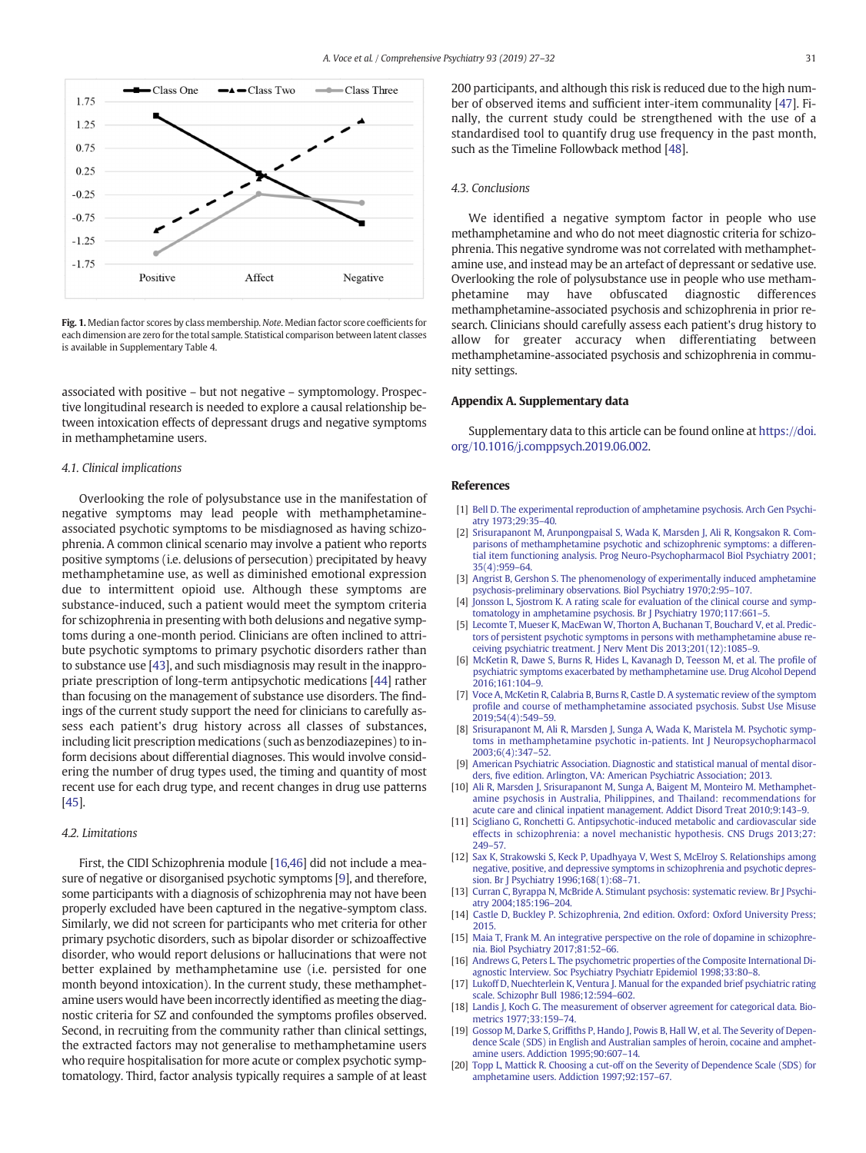<span id="page-4-0"></span>

Fig. 1. Median factor scores by class membership. Note. Median factor score coefficients for each dimension are zero for the total sample. Statistical comparison between latent classes is available in Supplementary Table 4.

associated with positive – but not negative – symptomology. Prospective longitudinal research is needed to explore a causal relationship between intoxication effects of depressant drugs and negative symptoms in methamphetamine users.

#### 4.1. Clinical implications

Overlooking the role of polysubstance use in the manifestation of negative symptoms may lead people with methamphetamineassociated psychotic symptoms to be misdiagnosed as having schizophrenia. A common clinical scenario may involve a patient who reports positive symptoms (i.e. delusions of persecution) precipitated by heavy methamphetamine use, as well as diminished emotional expression due to intermittent opioid use. Although these symptoms are substance-induced, such a patient would meet the symptom criteria for schizophrenia in presenting with both delusions and negative symptoms during a one-month period. Clinicians are often inclined to attribute psychotic symptoms to primary psychotic disorders rather than to substance use [\[43\]](#page-5-0), and such misdiagnosis may result in the inappropriate prescription of long-term antipsychotic medications [\[44\]](#page-5-0) rather than focusing on the management of substance use disorders. The findings of the current study support the need for clinicians to carefully assess each patient's drug history across all classes of substances, including licit prescription medications (such as benzodiazepines) to inform decisions about differential diagnoses. This would involve considering the number of drug types used, the timing and quantity of most recent use for each drug type, and recent changes in drug use patterns [\[45](#page-5-0)].

#### 4.2. Limitations

First, the CIDI Schizophrenia module [16[,46](#page-5-0)] did not include a measure of negative or disorganised psychotic symptoms [9], and therefore, some participants with a diagnosis of schizophrenia may not have been properly excluded have been captured in the negative-symptom class. Similarly, we did not screen for participants who met criteria for other primary psychotic disorders, such as bipolar disorder or schizoaffective disorder, who would report delusions or hallucinations that were not better explained by methamphetamine use (i.e. persisted for one month beyond intoxication). In the current study, these methamphetamine users would have been incorrectly identified as meeting the diagnostic criteria for SZ and confounded the symptoms profiles observed. Second, in recruiting from the community rather than clinical settings, the extracted factors may not generalise to methamphetamine users who require hospitalisation for more acute or complex psychotic symptomatology. Third, factor analysis typically requires a sample of at least 200 participants, and although this risk is reduced due to the high number of observed items and sufficient inter-item communality [\[47](#page-5-0)]. Finally, the current study could be strengthened with the use of a standardised tool to quantify drug use frequency in the past month, such as the Timeline Followback method [\[48\]](#page-5-0).

#### 4.3. Conclusions

We identified a negative symptom factor in people who use methamphetamine and who do not meet diagnostic criteria for schizophrenia. This negative syndrome was not correlated with methamphetamine use, and instead may be an artefact of depressant or sedative use. Overlooking the role of polysubstance use in people who use methamphetamine may have obfuscated diagnostic differences methamphetamine-associated psychosis and schizophrenia in prior research. Clinicians should carefully assess each patient's drug history to allow for greater accuracy when differentiating between methamphetamine-associated psychosis and schizophrenia in community settings.

#### Appendix A. Supplementary data

Supplementary data to this article can be found online at [https://doi.](https://doi.org/10.1016/j.comppsych.2019.06.002) [org/10.1016/j.comppsych.2019.06.002.](https://doi.org/10.1016/j.comppsych.2019.06.002)

#### References

- [1] [Bell D. The experimental reproduction of amphetamine psychosis. Arch Gen Psychi](http://refhub.elsevier.com/S0010-440X(19)30025-2/rf0005)[atry 1973;29:35](http://refhub.elsevier.com/S0010-440X(19)30025-2/rf0005)–40.
- [2] [Srisurapanont M, Arunpongpaisal S, Wada K, Marsden J, Ali R, Kongsakon R. Com](http://refhub.elsevier.com/S0010-440X(19)30025-2/rf0010)[parisons of methamphetamine psychotic and schizophrenic symptoms: a differen](http://refhub.elsevier.com/S0010-440X(19)30025-2/rf0010)[tial item functioning analysis. Prog Neuro-Psychopharmacol Biol Psychiatry 2001;](http://refhub.elsevier.com/S0010-440X(19)30025-2/rf0010) [35\(4\):959](http://refhub.elsevier.com/S0010-440X(19)30025-2/rf0010)–64.
- [3] [Angrist B, Gershon S. The phenomenology of experimentally induced amphetamine](http://refhub.elsevier.com/S0010-440X(19)30025-2/rf0015) [psychosis-preliminary observations. Biol Psychiatry 1970;2:95](http://refhub.elsevier.com/S0010-440X(19)30025-2/rf0015)–107.
- [4] [Jonsson L, Sjostrom K. A rating scale for evaluation of the clinical course and symp](http://refhub.elsevier.com/S0010-440X(19)30025-2/rf0020)[tomatology in amphetamine psychosis. Br J Psychiatry 1970;117:661](http://refhub.elsevier.com/S0010-440X(19)30025-2/rf0020)–5.
- [5] [Lecomte T, Mueser K, MacEwan W, Thorton A, Buchanan T, Bouchard V, et al. Predic](http://refhub.elsevier.com/S0010-440X(19)30025-2/rf0025)[tors of persistent psychotic symptoms in persons with methamphetamine abuse re](http://refhub.elsevier.com/S0010-440X(19)30025-2/rf0025)[ceiving psychiatric treatment. J Nerv Ment Dis 2013;201\(12\):1085](http://refhub.elsevier.com/S0010-440X(19)30025-2/rf0025)–9.
- [6] [McKetin R, Dawe S, Burns R, Hides L, Kavanagh D, Teesson M, et al. The pro](http://refhub.elsevier.com/S0010-440X(19)30025-2/rf0030)file of [psychiatric symptoms exacerbated by methamphetamine use. Drug Alcohol Depend](http://refhub.elsevier.com/S0010-440X(19)30025-2/rf0030) [2016;161:104](http://refhub.elsevier.com/S0010-440X(19)30025-2/rf0030)–9.
- [7] [Voce A, McKetin R, Calabria B, Burns R, Castle D. A systematic review of the symptom](http://refhub.elsevier.com/S0010-440X(19)30025-2/rf0035) profi[le and course of methamphetamine associated psychosis. Subst Use Misuse](http://refhub.elsevier.com/S0010-440X(19)30025-2/rf0035) [2019;54\(4\):549](http://refhub.elsevier.com/S0010-440X(19)30025-2/rf0035)–59.
- [8] [Srisurapanont M, Ali R, Marsden J, Sunga A, Wada K, Maristela M. Psychotic symp](http://refhub.elsevier.com/S0010-440X(19)30025-2/rf0040)[toms in methamphetamine psychotic in-patients. Int J Neuropsychopharmacol](http://refhub.elsevier.com/S0010-440X(19)30025-2/rf0040) [2003;6\(4\):347](http://refhub.elsevier.com/S0010-440X(19)30025-2/rf0040)–52.
- [American Psychiatric Association. Diagnostic and statistical manual of mental disor](http://refhub.elsevier.com/S0010-440X(19)30025-2/rf0045)ders, fi[ve edition. Arlington, VA: American Psychiatric Association; 2013.](http://refhub.elsevier.com/S0010-440X(19)30025-2/rf0045)
- [10] [Ali R, Marsden J, Srisurapanont M, Sunga A, Baigent M, Monteiro M. Methamphet](http://refhub.elsevier.com/S0010-440X(19)30025-2/rf0050)[amine psychosis in Australia, Philippines, and Thailand: recommendations for](http://refhub.elsevier.com/S0010-440X(19)30025-2/rf0050) [acute care and clinical inpatient management. Addict Disord Treat 2010;9:143](http://refhub.elsevier.com/S0010-440X(19)30025-2/rf0050)–9.
- [11] [Scigliano G, Ronchetti G. Antipsychotic-induced metabolic and cardiovascular side](http://refhub.elsevier.com/S0010-440X(19)30025-2/rf0055) [effects in schizophrenia: a novel mechanistic hypothesis. CNS Drugs 2013;27:](http://refhub.elsevier.com/S0010-440X(19)30025-2/rf0055) [249](http://refhub.elsevier.com/S0010-440X(19)30025-2/rf0055)–57.
- [12] [Sax K, Strakowski S, Keck P, Upadhyaya V, West S, McElroy S. Relationships among](http://refhub.elsevier.com/S0010-440X(19)30025-2/rf0060) [negative, positive, and depressive symptoms in schizophrenia and psychotic depres](http://refhub.elsevier.com/S0010-440X(19)30025-2/rf0060)[sion. Br J Psychiatry 1996;168\(1\):68](http://refhub.elsevier.com/S0010-440X(19)30025-2/rf0060)–71.
- [Curran C, Byrappa N, McBride A. Stimulant psychosis: systematic review. Br J Psychi](http://refhub.elsevier.com/S0010-440X(19)30025-2/rf0065)[atry 2004;185:196](http://refhub.elsevier.com/S0010-440X(19)30025-2/rf0065)–204.
- [14] [Castle D, Buckley P. Schizophrenia, 2nd edition. Oxford: Oxford University Press;](http://refhub.elsevier.com/S0010-440X(19)30025-2/rf0070) [2015.](http://refhub.elsevier.com/S0010-440X(19)30025-2/rf0070)
- [15] [Maia T, Frank M. An integrative perspective on the role of dopamine in schizophre](http://refhub.elsevier.com/S0010-440X(19)30025-2/rf0075)[nia. Biol Psychiatry 2017;81:52](http://refhub.elsevier.com/S0010-440X(19)30025-2/rf0075)–66.
- [16] [Andrews G, Peters L. The psychometric properties of the Composite International Di](http://refhub.elsevier.com/S0010-440X(19)30025-2/rf0080)[agnostic Interview. Soc Psychiatry Psychiatr Epidemiol 1998;33:80](http://refhub.elsevier.com/S0010-440X(19)30025-2/rf0080)–8.
- [17] [Lukoff D, Nuechterlein K, Ventura J. Manual for the expanded brief psychiatric rating](http://refhub.elsevier.com/S0010-440X(19)30025-2/rf0085) [scale. Schizophr Bull 1986;12:594](http://refhub.elsevier.com/S0010-440X(19)30025-2/rf0085)–602.
- [18] [Landis J, Koch G. The measurement of observer agreement for categorical data. Bio](http://refhub.elsevier.com/S0010-440X(19)30025-2/rf0090)[metrics 1977;33:159](http://refhub.elsevier.com/S0010-440X(19)30025-2/rf0090)–74.
- [19] Gossop M, Darke S, Griffi[ths P, Hando J, Powis B, Hall W, et al. The Severity of Depen](http://refhub.elsevier.com/S0010-440X(19)30025-2/rf0095)[dence Scale \(SDS\) in English and Australian samples of heroin, cocaine and amphet](http://refhub.elsevier.com/S0010-440X(19)30025-2/rf0095)[amine users. Addiction 1995;90:607](http://refhub.elsevier.com/S0010-440X(19)30025-2/rf0095)–14.
- [20] [Topp L, Mattick R. Choosing a cut-off on the Severity of Dependence Scale \(SDS\) for](http://refhub.elsevier.com/S0010-440X(19)30025-2/rf0100) [amphetamine users. Addiction 1997;92:157](http://refhub.elsevier.com/S0010-440X(19)30025-2/rf0100)–67.